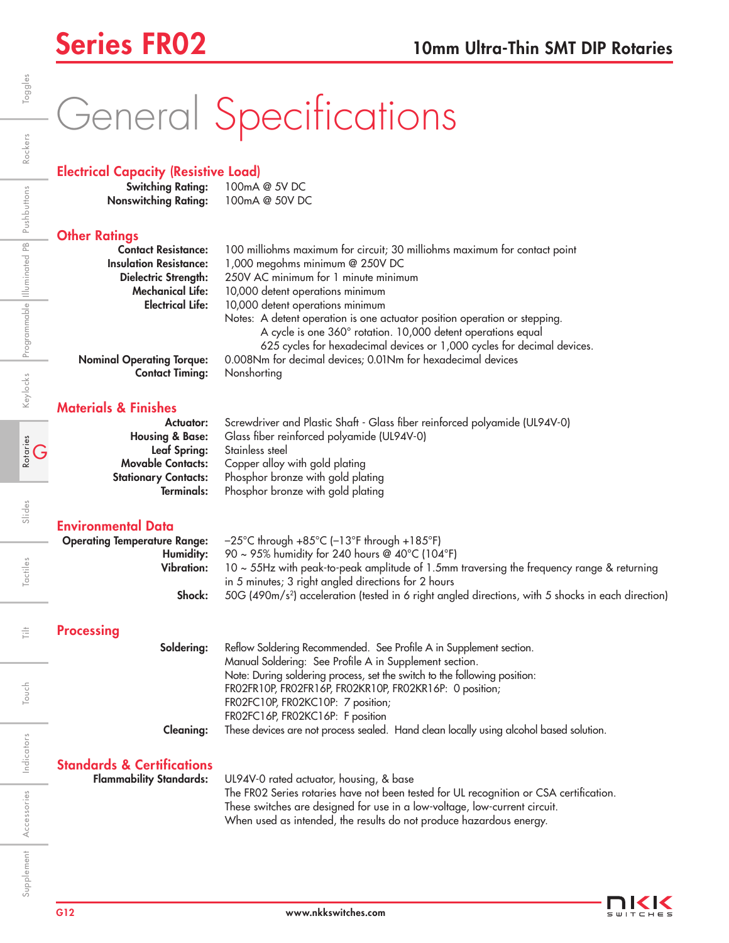# General Specifications

## Electrical Capacity (Resistive Load)

| <b>Switching Rating:</b>    | 100mA @ 5V DC  |
|-----------------------------|----------------|
| <b>Nonswitching Rating:</b> | 100mA @ 50V DC |

## **Other Ratings**

| <b>Contact Resistance:</b>       | 100 milliohms maximum for circuit; 30 milliohms maximum for contact point                                                                                                                                            |
|----------------------------------|----------------------------------------------------------------------------------------------------------------------------------------------------------------------------------------------------------------------|
| <b>Insulation Resistance:</b>    | 1,000 megohms minimum @ 250V DC                                                                                                                                                                                      |
| Dielectric Strength:             | 250V AC minimum for 1 minute minimum                                                                                                                                                                                 |
| <b>Mechanical Life:</b>          | 10,000 detent operations minimum                                                                                                                                                                                     |
| <b>Electrical Life:</b>          | 10,000 detent operations minimum                                                                                                                                                                                     |
|                                  | Notes: A detent operation is one actuator position operation or stepping.<br>A cycle is one 360° rotation. 10,000 detent operations equal<br>625 cycles for hexadecimal devices or 1,000 cycles for decimal devices. |
| <b>Nominal Operating Torque:</b> | 0.008Nm for decimal devices; 0.01Nm for hexadecimal devices                                                                                                                                                          |
| <b>Contact Timing:</b>           | Nonshorting                                                                                                                                                                                                          |

Materials & Finishes

| Actuator:                  | Screwdriver and Plastic Shaft - Glass fiber reinforced polyamide (UL94V-0) |
|----------------------------|----------------------------------------------------------------------------|
| <b>Housing &amp; Base:</b> | Glass fiber reinforced polyamide (UL94V-0)                                 |
| <b>Leaf Spring:</b>        | Stainless steel                                                            |
| <b>Movable Contacts:</b>   | Copper alloy with gold plating                                             |
| Stationary Contacts:       | Phosphor bronze with gold plating                                          |
| Terminals:                 | Phosphor bronze with gold plating                                          |

## Environmental Data

| <b>Operating Temperature Range:</b><br>Humidity:<br><b>Vibration:</b><br>Shock: | $-25^{\circ}$ C through $+85^{\circ}$ C ( $-13^{\circ}$ F through $+185^{\circ}$ F)<br>90 ~ 95% humidity for 240 hours @ 40°C (104°F)<br>10 ~ 55Hz with peak-to-peak amplitude of 1.5mm traversing the frequency range & returning<br>in 5 minutes; 3 right angled directions for 2 hours<br>50G (490m/s <sup>2</sup> ) acceleration (tested in 6 right angled directions, with 5 shocks in each direction)                             |
|---------------------------------------------------------------------------------|-----------------------------------------------------------------------------------------------------------------------------------------------------------------------------------------------------------------------------------------------------------------------------------------------------------------------------------------------------------------------------------------------------------------------------------------|
| <b>Processing</b>                                                               |                                                                                                                                                                                                                                                                                                                                                                                                                                         |
| Soldering:<br><b>Cleaning:</b>                                                  | Reflow Soldering Recommended. See Profile A in Supplement section.<br>Manual Soldering: See Profile A in Supplement section.<br>Note: During soldering process, set the switch to the following position:<br>FRO2FR10P, FRO2FR16P, FRO2KR10P, FRO2KR16P: 0 position;<br>FR02FC10P, FR02KC10P: 7 position;<br>FR02FC16P, FR02KC16P: F position<br>These devices are not process sealed. Hand clean locally using alcohol based solution. |
| <b>Standards &amp; Certifications</b><br><b>Flammability Standards:</b>         | UL94V-0 rated actuator, housing, & base<br>The FR02 Series rotaries have not been tested for UL recognition or CSA certification.<br>These switches are designed for use in a low-voltage, low-current circuit.<br>When used as intended, the results do not produce hazardous energy.                                                                                                                                                  |

 $\frac{+}{\left\vert -\right\vert }$ 

Touch

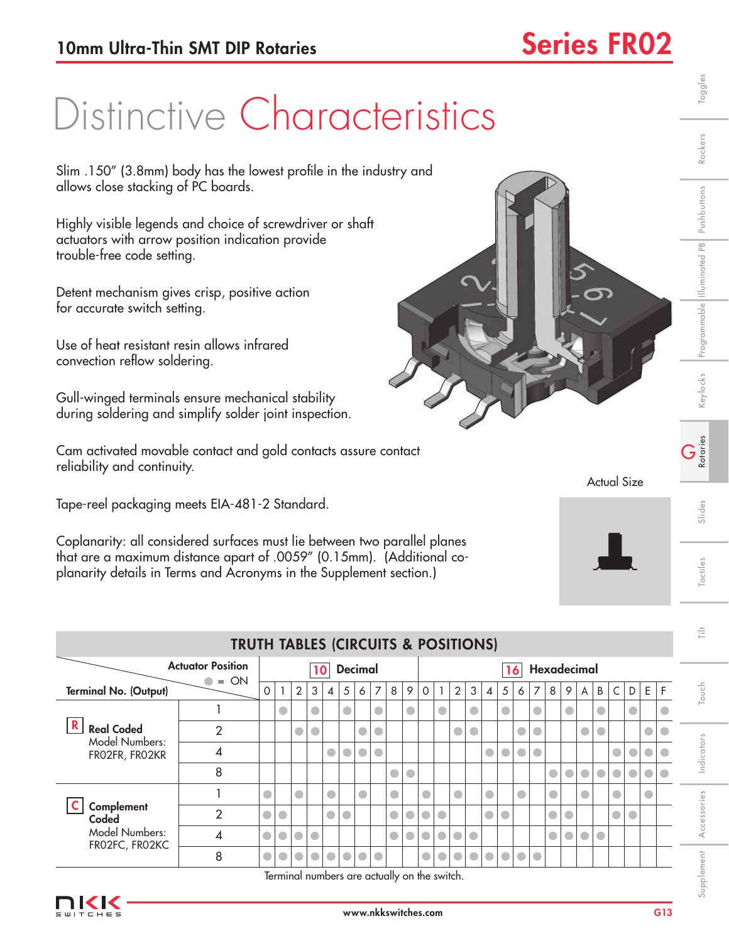## Distinctive Characteristics

| Distinctive Characteristics                                                                                                                                                                                               |                                                                                                                                             |           |              |                |                 |                                              |                |           |           |           |           |           | Toggles   |                          |                             |                |            |           |           |             |            |           |                    |             |           |           |                |             |
|---------------------------------------------------------------------------------------------------------------------------------------------------------------------------------------------------------------------------|---------------------------------------------------------------------------------------------------------------------------------------------|-----------|--------------|----------------|-----------------|----------------------------------------------|----------------|-----------|-----------|-----------|-----------|-----------|-----------|--------------------------|-----------------------------|----------------|------------|-----------|-----------|-------------|------------|-----------|--------------------|-------------|-----------|-----------|----------------|-------------|
|                                                                                                                                                                                                                           |                                                                                                                                             |           |              |                |                 |                                              |                |           |           |           |           |           |           |                          |                             |                |            |           |           |             |            |           |                    |             |           |           |                | Rockers     |
|                                                                                                                                                                                                                           | Slim .150" (3.8mm) body has the lowest profile in the industry and<br>allows close stacking of PC boards.                                   |           |              |                |                 |                                              |                |           |           |           |           |           |           |                          |                             |                |            |           |           |             |            |           |                    |             |           |           |                |             |
|                                                                                                                                                                                                                           | Highly visible legends and choice of screwdriver or shaft<br>actuators with arrow position indication provide<br>trouble-free code setting. |           |              |                |                 |                                              |                |           |           |           |           |           |           |                          |                             | Pushbuttons    |            |           |           |             |            |           |                    |             |           |           |                |             |
| Detent mechanism gives crisp, positive action<br>for accurate switch setting.                                                                                                                                             |                                                                                                                                             |           |              |                |                 |                                              |                |           |           |           |           |           |           |                          | Programmable Illuminated PB |                |            |           |           |             |            |           |                    |             |           |           |                |             |
| Use of heat resistant resin allows infrared<br>convection reflow soldering.                                                                                                                                               |                                                                                                                                             |           |              |                |                 |                                              |                |           |           |           |           |           |           |                          |                             |                |            |           |           |             |            |           |                    |             |           |           |                |             |
|                                                                                                                                                                                                                           | Gull-winged terminals ensure mechanical stability<br>during soldering and simplify solder joint inspection.                                 |           |              |                |                 |                                              |                |           |           |           |           |           |           |                          |                             | Keylocks       |            |           |           |             |            |           |                    |             |           |           |                |             |
| Cam activated movable contact and gold contacts assure contact<br>reliability and continuity.                                                                                                                             |                                                                                                                                             |           |              |                |                 |                                              |                |           |           |           |           |           |           | $\sum_{\text{Rotaries}}$ |                             |                |            |           |           |             |            |           |                    |             |           |           |                |             |
| Tape-reel packaging meets EIA-481-2 Standard.                                                                                                                                                                             |                                                                                                                                             |           |              |                |                 |                                              |                |           |           |           |           |           |           |                          |                             |                |            |           |           |             |            |           | <b>Actual Size</b> |             |           |           |                |             |
|                                                                                                                                                                                                                           |                                                                                                                                             |           |              |                |                 |                                              |                |           |           |           |           |           |           |                          |                             |                |            |           |           |             |            |           |                    |             |           |           |                | Slides      |
| Coplanarity: all considered surfaces must lie between two parallel planes<br>that are a maximum distance apart of .0059" (0.15mm). (Additional co-<br>planarity details in Terms and Acronyms in the Supplement section.) |                                                                                                                                             |           |              |                |                 |                                              |                |           |           |           |           |           |           | Tactiles                 |                             |                |            |           |           |             |            |           |                    |             |           |           |                |             |
|                                                                                                                                                                                                                           |                                                                                                                                             |           |              |                |                 |                                              |                |           |           |           |           |           |           |                          |                             |                |            |           |           |             |            |           |                    |             |           |           |                | 言           |
|                                                                                                                                                                                                                           | <b>TRUTH TABLES (CIRCUITS &amp; POSITIONS)</b>                                                                                              |           |              |                |                 |                                              |                |           |           |           |           |           |           |                          |                             |                |            |           |           |             |            |           |                    |             |           |           |                |             |
|                                                                                                                                                                                                                           | <b>Actuator Position</b>                                                                                                                    |           |              |                | 10 <sup>1</sup> |                                              | <b>Decimal</b> |           |           |           |           |           |           |                          |                             |                | 16         |           |           | Hexadecimal |            |           |                    |             |           |           |                |             |
| <b>Terminal No. (Output)</b>                                                                                                                                                                                              | $\bullet = ON$                                                                                                                              | 0         | $\mathbf{1}$ | $\overline{2}$ | 3               | $\overline{4}$                               | 5              | 6         | 7         | 8         | $\,9$     | 0         | 1         | $\overline{2}$           | 3                           | $\overline{4}$ | 5          | 6         | 7         | 8           | 9          | A         | B                  | $\mathsf C$ | D         | Ε         | F              | Touch       |
|                                                                                                                                                                                                                           | $\mathbf{1}$                                                                                                                                |           | $\bullet$    |                | $\bullet$       |                                              | $\bullet$      |           | $\bullet$ |           | $\bullet$ |           | $\bullet$ |                          | $\bullet$                   |                | $\bullet$  |           | $\bullet$ |             | $\bullet$  |           | 0                  |             | $\bullet$ |           | $\bullet$      |             |
| $\mathbf R$<br><b>Real Coded</b>                                                                                                                                                                                          | $\overline{2}$                                                                                                                              |           |              | $\bullet$      | $\bullet$       |                                              |                | $\bullet$ | $\bullet$ |           |           |           |           | $\bullet$                | $\bullet$                   |                |            | $\bullet$ | $\bullet$ |             |            | $\bullet$ | $\bullet$          |             |           |           | $\bullet$      |             |
| <b>Model Numbers:</b><br>FRO2FR, FRO2KR                                                                                                                                                                                   | 4                                                                                                                                           |           |              |                |                 | $\bullet$                                    | $\bullet$      | $\bullet$ | $\bullet$ |           |           |           |           |                          |                             | $\bullet$      | $\bigcirc$ | $\bullet$ | $\bullet$ |             |            |           |                    | $\bullet$   | $\bullet$ | O         | $\bullet$      | Indicators  |
|                                                                                                                                                                                                                           | 8                                                                                                                                           |           |              |                |                 |                                              |                |           |           | $\bullet$ | $\bullet$ |           |           |                          |                             |                |            |           |           | $\bullet$   | $\bigcirc$ | $\bullet$ | $\bullet$          | $\bullet$   | $\bullet$ | $\bullet$ | $\blacksquare$ |             |
|                                                                                                                                                                                                                           | 1                                                                                                                                           | $\bullet$ |              | $\bullet$      |                 | $\bullet$                                    |                | $\bullet$ |           | $\bullet$ |           | O         |           | $\bullet$                |                             | $\bullet$      |            | $\bullet$ |           | $\bullet$   |            | $\bullet$ |                    | $\bullet$   |           | $\bullet$ |                |             |
| Complement<br>Coded                                                                                                                                                                                                       | $\overline{2}$                                                                                                                              | $\bullet$ | $\bullet$    |                |                 | $\bullet$                                    | $\bullet$      |           |           | $\bullet$ | $\bullet$ | $\bullet$ | $\bullet$ |                          |                             | $\bullet$      | $\bullet$  |           |           | $\bullet$   | $\bullet$  |           |                    | $\bullet$   | $\bullet$ |           |                | Accessories |
| Model Numbers:<br>FRO2FC, FRO2KC                                                                                                                                                                                          | 4                                                                                                                                           | $\bullet$ | $\bullet$    | $\bullet$      | $\bullet$       |                                              |                |           |           | $\bullet$ | $\bullet$ | $\bullet$ | $\bullet$ | $\bullet$                | $\bullet$                   |                |            |           |           | $\bigcirc$  | $\bigcirc$ | $\bullet$ | $\bullet$          |             |           |           |                |             |
|                                                                                                                                                                                                                           | 8                                                                                                                                           | $\bullet$ | $\bullet$    |                | $\bigcirc$      | $\bullet$                                    | $\bigcirc$     | $\bullet$ | $\bullet$ |           |           | $\bullet$ |           | $\bullet$                | $\bullet$                   | $\bullet$      | $\bullet$  | $\bullet$ | $\bullet$ |             |            |           |                    |             |           |           |                |             |
|                                                                                                                                                                                                                           |                                                                                                                                             |           |              |                |                 | Terminal numbers are actually on the switch. |                |           |           |           |           |           |           |                          |                             |                |            |           |           |             |            |           |                    |             |           |           |                | Supplement  |



### Actual Size

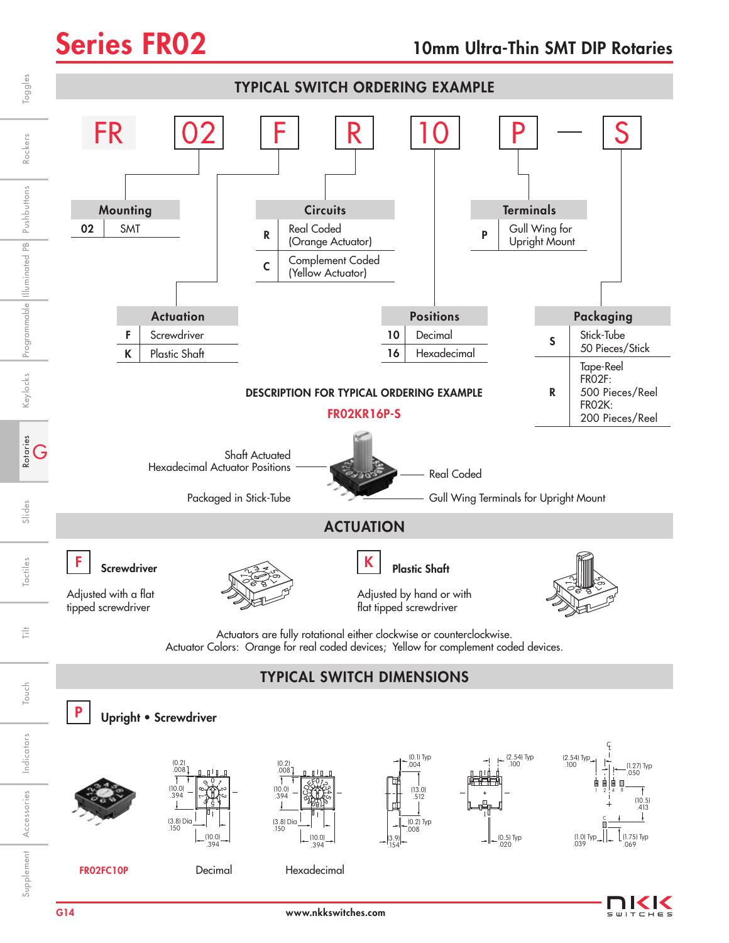